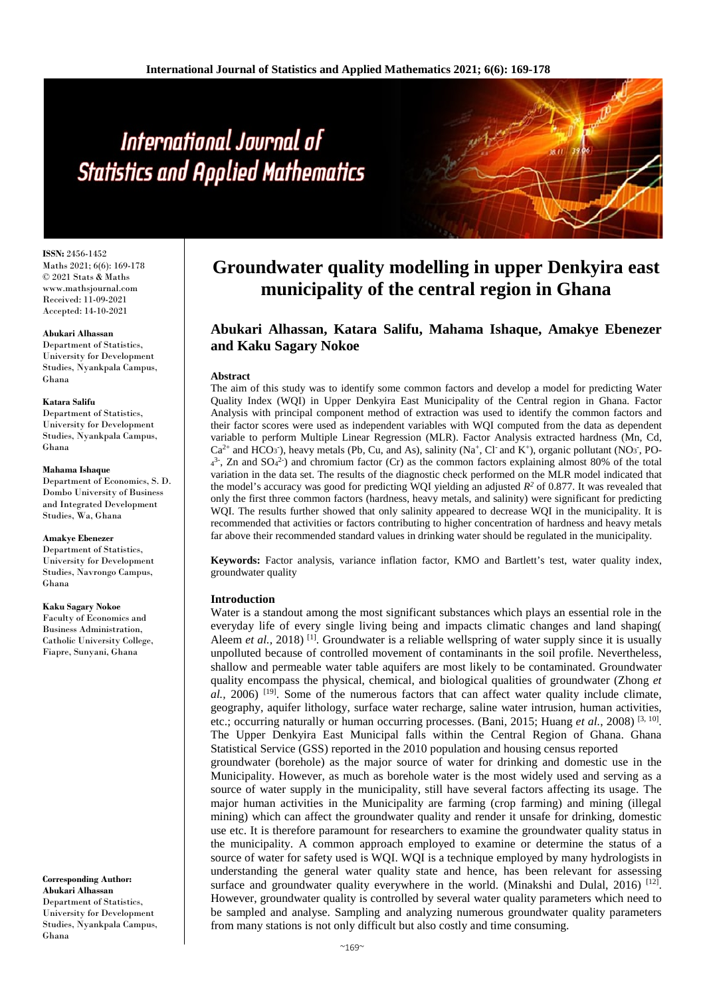# International Journal of **Statistics and Applied Mathematics**

**ISSN:** 2456-1452 Maths 2021; 6(6): 169-178 © 2021 Stats & Maths www.mathsjournal.com Received: 11-09-2021 Accepted: 14-10-2021

#### **Abukari Alhassan**

Department of Statistics, University for Development Studies, Nyankpala Campus, Ghana

#### **Katara Salifu**

Department of Statistics, University for Development Studies, Nyankpala Campus, Ghana

#### **Mahama Ishaque**

Department of Economics, S. D. Dombo University of Business and Integrated Development Studies, Wa, Ghana

#### **Amakye Ebenezer**

Department of Statistics. University for Development Studies, Navrongo Campus, Ghana

#### **Kaku Sagary Nokoe**

Faculty of Economics and Business Administration, Catholic University College, Fiapre, Sunyani, Ghana

**Corresponding Author: Abukari Alhassan** Department of Statistics, University for Development Studies, Nyankpala Campus, Ghana

# **Groundwater quality modelling in upper Denkyira east municipality of the central region in Ghana**

**Abukari Alhassan, Katara Salifu, Mahama Ishaque, Amakye Ebenezer and Kaku Sagary Nokoe**

#### **Abstract**

The aim of this study was to identify some common factors and develop a model for predicting Water Quality Index (WQI) in Upper Denkyira East Municipality of the Central region in Ghana. Factor Analysis with principal component method of extraction was used to identify the common factors and their factor scores were used as independent variables with WQI computed from the data as dependent variable to perform Multiple Linear Regression (MLR). Factor Analysis extracted hardness (Mn, Cd,  $Ca<sup>2+</sup>$  and HCO<sub>3</sub><sup>-</sup>), heavy metals (Pb, Cu, and As), salinity (Na<sup>+</sup>, Cl<sup>-</sup> and K<sup>+</sup>), organic pollutant (NO<sub>3</sub><sup>-</sup>, PO- $4<sup>3</sup>$ , Zn and SO $4<sup>2</sup>$ ) and chromium factor (Cr) as the common factors explaining almost 80% of the total variation in the data set. The results of the diagnostic check performed on the MLR model indicated that the model's accuracy was good for predicting WQI yielding an adjusted  $R^2$  of 0.877. It was revealed that only the first three common factors (hardness, heavy metals, and salinity) were significant for predicting WQI. The results further showed that only salinity appeared to decrease WQI in the municipality. It is recommended that activities or factors contributing to higher concentration of hardness and heavy metals far above their recommended standard values in drinking water should be regulated in the municipality.

**Keywords:** Factor analysis, variance inflation factor, KMO and Bartlett's test, water quality index, groundwater quality

#### **Introduction**

Water is a standout among the most significant substances which plays an essential role in the everyday life of every single living being and impacts climatic changes and land shaping( Aleem *et al.*, 2018)<sup>[1]</sup>. Groundwater is a reliable wellspring of water supply since it is usually unpolluted because of controlled movement of contaminants in the soil profile. Nevertheless, shallow and permeable water table aquifers are most likely to be contaminated. Groundwater quality encompass the physical, chemical, and biological qualities of groundwater (Zhong *et al.,* 2006) [19]. Some of the numerous factors that can affect water quality include climate, geography, aquifer lithology, surface water recharge, saline water intrusion, human activities, etc.; occurring naturally or human occurring processes. (Bani, 2015; Huang et al., 2008)<sup>[3, 10]</sup>. The Upper Denkyira East Municipal falls within the Central Region of Ghana. Ghana Statistical Service (GSS) reported in the 2010 population and housing census reported groundwater (borehole) as the major source of water for drinking and domestic use in the Municipality. However, as much as borehole water is the most widely used and serving as a source of water supply in the municipality, still have several factors affecting its usage. The major human activities in the Municipality are farming (crop farming) and mining (illegal mining) which can affect the groundwater quality and render it unsafe for drinking, domestic use etc. It is therefore paramount for researchers to examine the groundwater quality status in the municipality. A common approach employed to examine or determine the status of a source of water for safety used is WQI. WQI is a technique employed by many hydrologists in understanding the general water quality state and hence, has been relevant for assessing surface and groundwater quality everywhere in the world. (Minakshi and Dulal, 2016)  $^{[12]}$ . However, groundwater quality is controlled by several water quality parameters which need to be sampled and analyse. Sampling and analyzing numerous groundwater quality parameters from many stations is not only difficult but also costly and time consuming.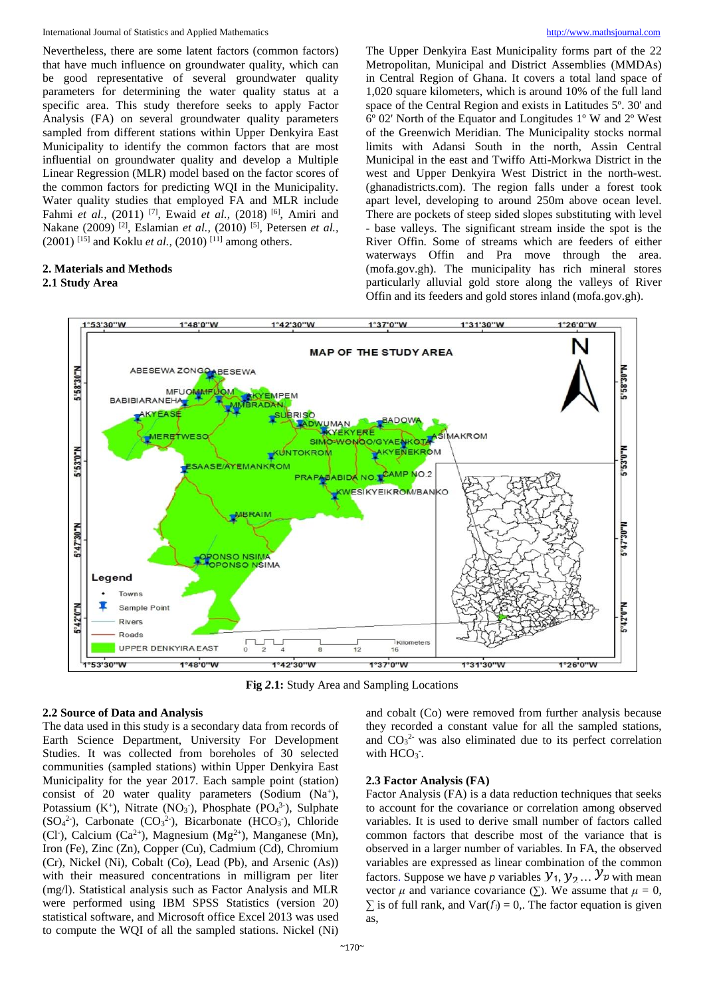International Journal of Statistics and Applied Mathematics [http://www.mathsjournal.com](http://www.mathsjournal.com/)

Nevertheless, there are some latent factors (common factors) that have much influence on groundwater quality, which can be good representative of several groundwater quality parameters for determining the water quality status at a specific area. This study therefore seeks to apply Factor Analysis (FA) on several groundwater quality parameters sampled from different stations within Upper Denkyira East Municipality to identify the common factors that are most influential on groundwater quality and develop a Multiple Linear Regression (MLR) model based on the factor scores of the common factors for predicting WQI in the Municipality. Water quality studies that employed FA and MLR include Fahmi *et al.*, (2011)<sup>[7]</sup>, Ewaid *et al.*, (2018)<sup>[6]</sup>, Amiri and Nakane (2009) [2], Eslamian *et al.,* (2010) [5], Petersen *et al.,* (2001) <sup>[15]</sup> and Koklu *et al.*, (2010) <sup>[11]</sup> among others.

# **2. Materials and Methods**

**2.1 Study Area**

The Upper Denkyira East Municipality forms part of the 22 Metropolitan, Municipal and District Assemblies (MMDAs) in Central Region of Ghana. It covers a total land space of 1,020 square kilometers, which is around 10% of the full land space of the Central Region and exists in Latitudes 5º. 30' and 6º 02' North of the Equator and Longitudes 1º W and 2º West of the Greenwich Meridian. The Municipality stocks normal limits with Adansi South in the north, Assin Central Municipal in the east and Twiffo Atti-Morkwa District in the west and Upper Denkyira West District in the north-west. (ghanadistricts.com). The region falls under a forest took apart level, developing to around 250m above ocean level. There are pockets of steep sided slopes substituting with level - base valleys. The significant stream inside the spot is the River Offin. Some of streams which are feeders of either waterways Offin and Pra move through the area. (mofa.gov.gh). The municipality has rich mineral stores particularly alluvial gold store along the valleys of River Offin and its feeders and gold stores inland (mofa.gov.gh).



**Fig** *2***.1:** Study Area and Sampling Locations

# **2.2 Source of Data and Analysis**

The data used in this study is a secondary data from records of Earth Science Department, University For Development Studies. It was collected from boreholes of 30 selected communities (sampled stations) within Upper Denkyira East Municipality for the year 2017. Each sample point (station) consist of 20 water quality parameters (Sodium  $(Na^+)$ , Potassium  $(K^+)$ , Nitrate  $(NO_3^-)$ , Phosphate  $(PO_4^3)$ , Sulphate  $(SO<sub>4</sub><sup>2</sup>)$ , Carbonate  $(CO<sub>3</sub><sup>2</sup>)$ , Bicarbonate  $(HCO<sub>3</sub>)$ , Chloride (Cl<sup>-</sup>), Calcium (Ca<sup>2+</sup>), Magnesium (Mg<sup>2+</sup>), Manganese (Mn), Iron (Fe), Zinc (Zn), Copper (Cu), Cadmium (Cd), Chromium (Cr), Nickel (Ni), Cobalt (Co), Lead (Pb), and Arsenic (As)) with their measured concentrations in milligram per liter (mg/l). Statistical analysis such as Factor Analysis and MLR were performed using IBM SPSS Statistics (version 20) statistical software, and Microsoft office Excel 2013 was used to compute the WQI of all the sampled stations. Nickel (Ni)

# they recorded a constant value for all the sampled stations, and  $CO<sub>3</sub><sup>2</sup>$  was also eliminated due to its perfect correlation with  $HCO<sub>3</sub>$ .

and cobalt (Co) were removed from further analysis because

#### **2.3 Factor Analysis (FA)**

Factor Analysis (FA) is a data reduction techniques that seeks to account for the covariance or correlation among observed variables. It is used to derive small number of factors called common factors that describe most of the variance that is observed in a larger number of variables. In FA, the observed variables are expressed as linear combination of the common factors. Suppose we have *p* variables  $y_1, y_2, \ldots, y_p$  with mean vector  $\mu$  and variance covariance ( $\Sigma$ ). We assume that  $\mu = 0$ ,  $∑$  is of full rank, and  $Var(f_i) = 0$ . The factor equation is given as,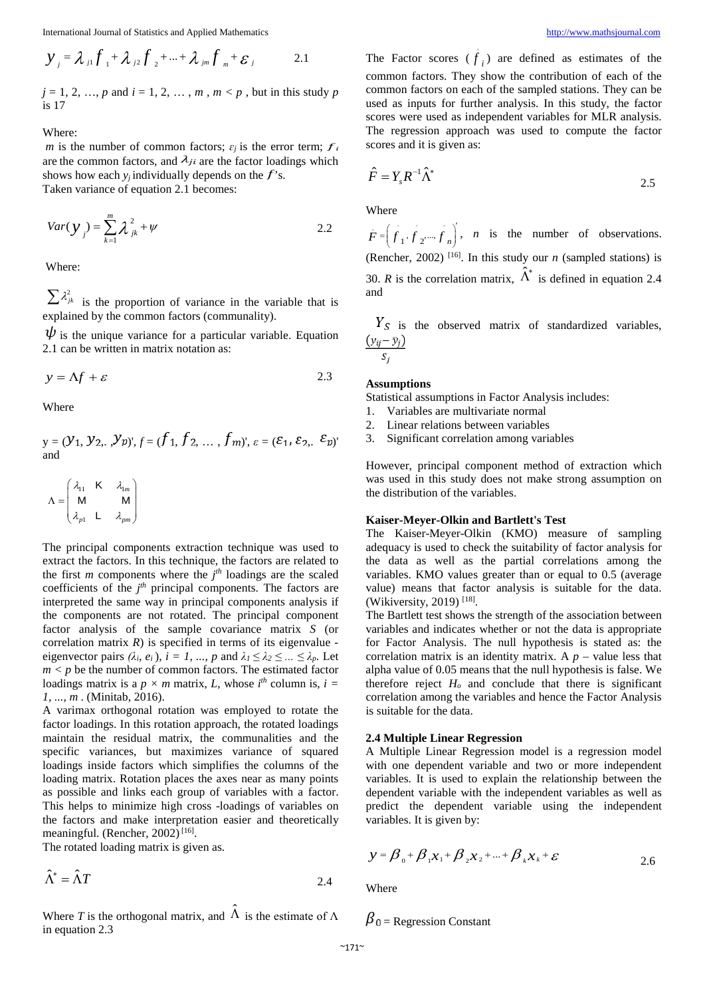$$
y_{j} = \lambda_{j1} f_{1} + \lambda_{j2} f_{2} + ... + \lambda_{jm} f_{m} + \varepsilon_{j}
$$
 2.1

 $j = 1, 2, ..., p$  and  $i = 1, 2, ..., m$ ,  $m < p$ , but in this study *p* is 17

Where:

*m* is the number of common factors;  $\varepsilon_j$  is the error term;  $f_i$ are the common factors, and  $\lambda_{ji}$  are the factor loadings which shows how each  $y_i$  individually depends on the  $f$ 's. Taken variance of equation 2.1 becomes:

$$
Var(y_j) = \sum_{k=1}^{m} \lambda_{jk}^2 + \psi
$$
 2.2

Where:

 $\sum \lambda_{jk}^2$  is the proportion of variance in the variable that is explained by the common factors (communality).

 $\psi$  is the unique variance for a particular variable. Equation 2.1 can be written in matrix notation as:

$$
y = \Delta f + \varepsilon \tag{2.3}
$$

Where

$$
y = (\mathcal{Y}_1, \mathcal{Y}_2, \mathcal{Y}_p)^{\prime}, f = (f_1, f_2, \dots, f_m)^{\prime}, \varepsilon = (\varepsilon_1, \varepsilon_2, \varepsilon_p)^{\prime}
$$
  
and

$$
\Lambda = \begin{pmatrix} \lambda_{11} & \mathbf{K} & \lambda_{1m} \\ \mathbf{M} & & \mathbf{M} \\ \lambda_{p1} & \mathbf{L} & \lambda_{pm} \end{pmatrix}
$$

The principal components extraction technique was used to extract the factors. In this technique, the factors are related to the first  $m$  components where the  $j<sup>th</sup>$  loadings are the scaled coefficients of the  $j<sup>th</sup>$  principal components. The factors are interpreted the same way in principal components analysis if the components are not rotated. The principal component factor analysis of the sample covariance matrix *S* (or correlation matrix  $R$ ) is specified in terms of its eigenvalue eigenvector pairs  $(\lambda_i, e_i)$ ,  $i = 1, ..., p$  and  $\lambda_1 \leq \lambda_2 \leq ... \leq \lambda_p$ . Let  $m < p$  be the number of common factors. The estimated factor loadings matrix is a  $p \times m$  matrix, *L*, whose  $i^{th}$  column is,  $i =$ *1, ..., m* . (Minitab, 2016).

A varimax orthogonal rotation was employed to rotate the factor loadings. In this rotation approach, the rotated loadings maintain the residual matrix, the communalities and the specific variances, but maximizes variance of squared loadings inside factors which simplifies the columns of the loading matrix. Rotation places the axes near as many points as possible and links each group of variables with a factor. This helps to minimize high cross -loadings of variables on the factors and make interpretation easier and theoretically meaningful. (Rencher, 2002)<sup>[16]</sup>.

The rotated loading matrix is given as.

$$
\hat{\Lambda}^* = \hat{\Lambda}T
$$
 2.4

Where *T* is the orthogonal matrix, and  $\hat{\Lambda}$  is the estimate of  $\Lambda$ in equation 2.3

The Factor scores  $(\hat{f}_i)$  are defined as estimates of the common factors. They show the contribution of each of the common factors on each of the sampled stations. They can be used as inputs for further analysis. In this study, the factor scores were used as independent variables for MLR analysis. The regression approach was used to compute the factor scores and it is given as:

$$
\hat{F} = Y_s R^{-1} \hat{\Lambda}^*
$$

Where

 $\hat{F} = \left(\hat{f}_1, \hat{f}_2, \dots, \hat{f}_n\right)^t$ , *n* is the number of observations. (Rencher, 2002)  $[16]$ . In this study our *n* (sampled stations) is 30. *R* is the correlation matrix,  $\hat{\Lambda}^*$  is defined in equation 2.4 and

 $\frac{Y_S}{(y_{ij} - \bar{y}_j)}$  is the observed matrix of standardized variables,  $\frac{(y_{ij} - \bar{y}_j)}{S_j}$ 

#### **Assumptions**

Statistical assumptions in Factor Analysis includes:

- 1. Variables are multivariate normal
- 2. Linear relations between variables
- 3. Significant correlation among variables

However, principal component method of extraction which was used in this study does not make strong assumption on the distribution of the variables.

#### **Kaiser-Meyer-Olkin and Bartlett's Test**

The Kaiser-Meyer-Olkin (KMO) measure of sampling adequacy is used to check the suitability of factor analysis for the data as well as the partial correlations among the variables. KMO values greater than or equal to 0.5 (average value) means that factor analysis is suitable for the data. (Wikiversity, 2019)<sup>[18]</sup>.

The Bartlett test shows the strength of the association between variables and indicates whether or not the data is appropriate for Factor Analysis. The null hypothesis is stated as: the correlation matrix is an identity matrix. A  $p$  – value less that alpha value of 0.05 means that the null hypothesis is false. We therefore reject  $H<sub>o</sub>$  and conclude that there is significant correlation among the variables and hence the Factor Analysis is suitable for the data.

#### **2.4 Multiple Linear Regression**

A Multiple Linear Regression model is a regression model with one dependent variable and two or more independent variables. It is used to explain the relationship between the dependent variable with the independent variables as well as predict the dependent variable using the independent variables. It is given by:

$$
y = \beta_0 + \beta_1 x_1 + \beta_2 x_2 + \dots + \beta_k x_k + \varepsilon
$$
 2.6

Where

 $\beta_0$  = Regression Constant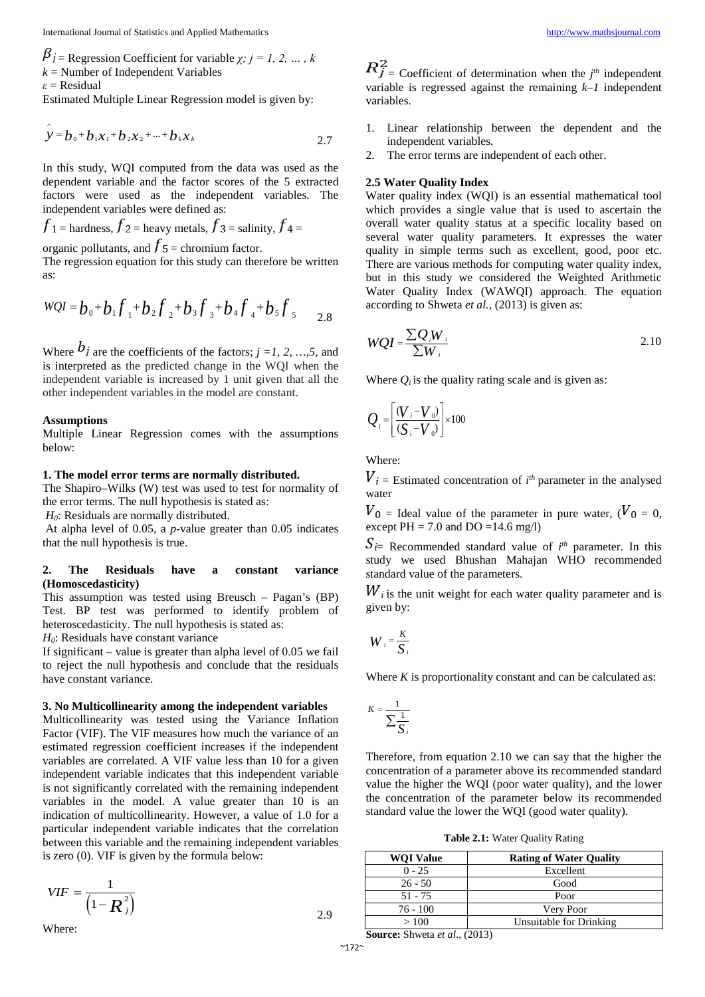$\beta_j$  = Regression Coefficient for variable *χ; j = 1, 2, ..., k*  $k =$  Number of Independent Variables

*ε* = Residual

Estimated Multiple Linear Regression model is given by:

$$
\hat{\mathbf{y}} = \mathbf{b}_0 + \mathbf{b}_1 \mathbf{x}_1 + \mathbf{b}_2 \mathbf{x}_2 + \dots + \mathbf{b}_k \mathbf{x}_k
$$

In this study, WQI computed from the data was used as the dependent variable and the factor scores of the 5 extracted factors were used as the independent variables. The independent variables were defined as:

$$
f_1
$$
 = hardness,  $f_2$  = heavy metals,  $f_3$  = salinity,  $f_4$  =

organic pollutants, and  $\bar{J}$  5 = chromium factor.

The regression equation for this study can therefore be written as:

$$
WQI = b_0 + b_1 f_1 + b_2 f_2 + b_3 f_3 + b_4 f_4 + b_5 f_5
$$
 2.8

Where  $b_j$  are the coefficients of the factors;  $j = 1, 2, ..., 5$ , and is interpreted as the predicted change in the WQI when the independent variable is increased by 1 unit given that all the other independent variables in the model are constant.

#### **Assumptions**

Multiple Linear Regression comes with the assumptions below:

#### **1. The model error terms are normally distributed.**

The Shapiro–Wilks (W) test was used to test for normality of the error terms. The null hypothesis is stated as:

*H0*: Residuals are normally distributed.

At alpha level of 0.05, a *p*-value greater than 0.05 indicates that the null hypothesis is true.

#### **2. The Residuals have a constant variance (Homoscedasticity)**

This assumption was tested using Breusch – Pagan's (BP) Test. BP test was performed to identify problem of heteroscedasticity. The null hypothesis is stated as:

*H*<sub>0</sub>: Residuals have constant variance

If significant – value is greater than alpha level of 0.05 we fail to reject the null hypothesis and conclude that the residuals have constant variance.

#### **3. No Multicollinearity among the independent variables**

Multicollinearity was tested using the Variance Inflation Factor (VIF). The VIF measures how much the variance of an estimated regression coefficient increases if the independent variables are correlated. A VIF value less than 10 for a given independent variable indicates that this independent variable is not significantly correlated with the remaining independent variables in the model. A value greater than 10 is an indication of multicollinearity. However, a value of 1.0 for a particular independent variable indicates that the correlation between this variable and the remaining independent variables is zero (0). VIF is given by the formula below:

$$
VIF = \frac{1}{\left(1 - \boldsymbol{R}_{j}^{2}\right)}
$$

Where:

 $=$  Coefficient of determination when the  $j<sup>th</sup>$  independent variable is regressed against the remaining *k–1* independent variables.

- 1. Linear relationship between the dependent and the independent variables.
- 2. The error terms are independent of each other.

#### **2.5 Water Quality Index**

Water quality index (WOI) is an essential mathematical tool which provides a single value that is used to ascertain the overall water quality status at a specific locality based on several water quality parameters. It expresses the water quality in simple terms such as excellent, good, poor etc. There are various methods for computing water quality index, but in this study we considered the Weighted Arithmetic Water Quality Index (WAWQI) approach. The equation according to Shweta *et al.,* (2013) is given as:

$$
WQI = \frac{\sum Q_i W_i}{\sum W_i}
$$

Where  $Q_i$  is the quality rating scale and is given as:

$$
Q_i = \left[ \frac{\left( V_i - V_o \right)}{\left( S_i - V_o \right)} \right] \times 100
$$

Where:

 $=$  Estimated concentration of  $i<sup>th</sup>$  parameter in the analysed water

 $V_0$  = Ideal value of the parameter in pure water, ( $V_0$  = 0, except  $PH = 7.0$  and  $DO = 14.6$  mg/l)

 $=$  Recommended standard value of  $i<sup>th</sup>$  parameter. In this study we used Bhushan Mahajan WHO recommended standard value of the parameters.

 $W_i$  is the unit weight for each water quality parameter and is given by:

$$
W_i = \frac{K}{S_i}
$$

Where *K* is proportionality constant and can be calculated as:

$$
K = \frac{1}{\sum_{i=1}^{n} S_i}
$$

Therefore, from equation 2.10 we can say that the higher the concentration of a parameter above its recommended standard value the higher the WQI (poor water quality), and the lower the concentration of the parameter below its recommended standard value the lower the WQI (good water quality).

**Table 2.1:** Water Quality Rating

| <b>WOI Value</b> | <b>Rating of Water Quality</b> |
|------------------|--------------------------------|
| $0 - 25$         | Excellent                      |
| $26 - 50$        | Good                           |
| $51 - 75$        | Poor                           |
| 76 - 100         | Very Poor                      |
| >100             | Unsuitable for Drinking        |

**Source:** Shweta *et al*., (2013)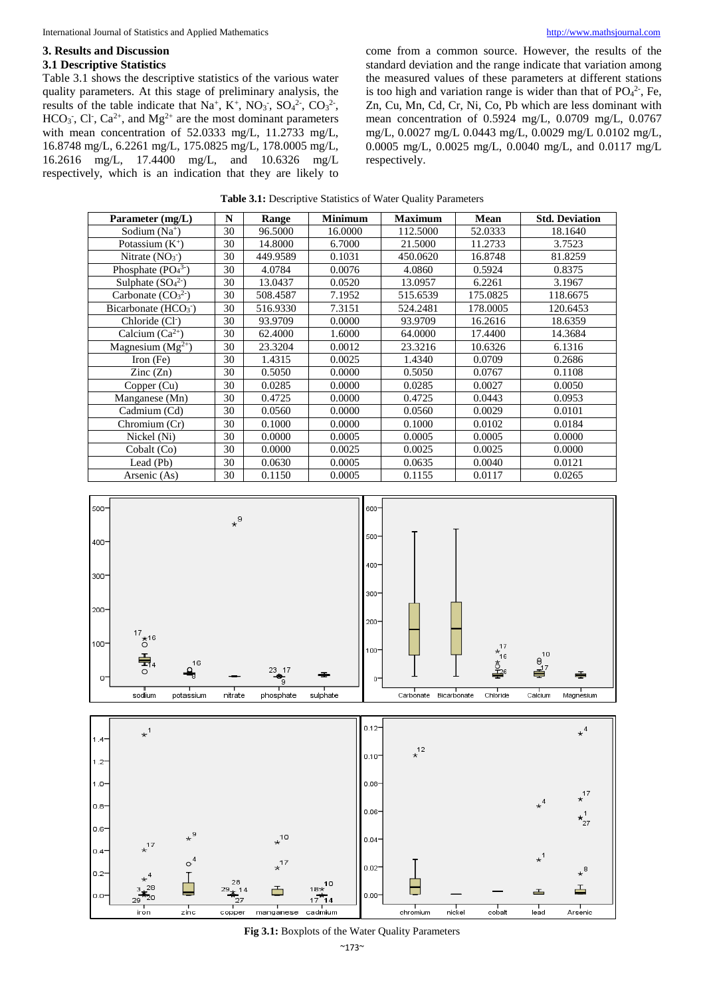#### **3. Results and Discussion 3.1 Descriptive Statistics**

Table 3.1 shows the descriptive statistics of the various water quality parameters. At this stage of preliminary analysis, the results of the table indicate that  $Na^+$ ,  $K^+$ ,  $NO_3$ ,  $SO_4^2$ ,  $CO_3^2$ ,  $HCO<sub>3</sub>$ , Cl<sup>-</sup>, Ca<sup>2+</sup>, and Mg<sup>2+</sup> are the most dominant parameters with mean concentration of 52.0333 mg/L, 11.2733 mg/L, 16.8748 mg/L, 6.2261 mg/L, 175.0825 mg/L, 178.0005 mg/L, 16.2616 mg/L, 17.4400 mg/L, and 10.6326 mg/L respectively, which is an indication that they are likely to

come from a common source. However, the results of the standard deviation and the range indicate that variation among the measured values of these parameters at different stations is too high and variation range is wider than that of  $PO_4^2$ , Fe, Zn, Cu, Mn, Cd, Cr, Ni, Co, Pb which are less dominant with mean concentration of 0.5924 mg/L, 0.0709 mg/L, 0.0767 mg/L, 0.0027 mg/L 0.0443 mg/L, 0.0029 mg/L 0.0102 mg/L, 0.0005 mg/L, 0.0025 mg/L, 0.0040 mg/L, and 0.0117 mg/L respectively.

| Parameter (mg/L)            | N  | Range    | <b>Minimum</b> | <b>Maximum</b> | <b>Mean</b> | <b>Std. Deviation</b> |
|-----------------------------|----|----------|----------------|----------------|-------------|-----------------------|
| Sodium $(Na^+)$             | 30 | 96.5000  | 16.0000        | 112.5000       | 52.0333     | 18.1640               |
| Potassium $(K^+)$           | 30 | 14.8000  | 6.7000         | 21.5000        | 11.2733     | 3.7523                |
| Nitrate $(NO3)$             | 30 | 449.9589 | 0.1031         | 450.0620       | 16.8748     | 81.8259               |
| Phosphate $(PO43)$          | 30 | 4.0784   | 0.0076         | 4.0860         | 0.5924      | 0.8375                |
| Sulphate $(SO_4^2)$         | 30 | 13.0437  | 0.0520         | 13.0957        | 6.2261      | 3.1967                |
| Carbonate $(CO32)$          | 30 | 508.4587 | 7.1952         | 515.6539       | 175.0825    | 118.6675              |
| Bicarbonate $(HCO3)$        | 30 | 516.9330 | 7.3151         | 524.2481       | 178.0005    | 120.6453              |
| Chloride (Cl <sup>-</sup> ) | 30 | 93.9709  | 0.0000         | 93.9709        | 16.2616     | 18.6359               |
| Calcium $(Ca^{2+})$         | 30 | 62.4000  | 1.6000         | 64.0000        | 17.4400     | 14.3684               |
| Magnesium $(Mg^{2+})$       | 30 | 23.3204  | 0.0012         | 23.3216        | 10.6326     | 6.1316                |
| Iron $(Fe)$                 | 30 | 1.4315   | 0.0025         | 1.4340         | 0.0709      | 0.2686                |
| $\text{Zinc}(\text{Zn})$    | 30 | 0.5050   | 0.0000         | 0.5050         | 0.0767      | 0.1108                |
| Copper (Cu)                 | 30 | 0.0285   | 0.0000         | 0.0285         | 0.0027      | 0.0050                |
| Manganese (Mn)              | 30 | 0.4725   | 0.0000         | 0.4725         | 0.0443      | 0.0953                |
| Cadmium (Cd)                | 30 | 0.0560   | 0.0000         | 0.0560         | 0.0029      | 0.0101                |
| Chromium (Cr)               | 30 | 0.1000   | 0.0000         | 0.1000         | 0.0102      | 0.0184                |
| Nickel (Ni)                 | 30 | 0.0000   | 0.0005         | 0.0005         | 0.0005      | 0.0000                |
| Cobalt (Co)                 | 30 | 0.0000   | 0.0025         | 0.0025         | 0.0025      | 0.0000                |
| Lead (Pb)                   | 30 | 0.0630   | 0.0005         | 0.0635         | 0.0040      | 0.0121                |
| Arsenic (As)                | 30 | 0.1150   | 0.0005         | 0.1155         | 0.0117      | 0.0265                |





**Fig 3.1:** Boxplots of the Water Quality Parameters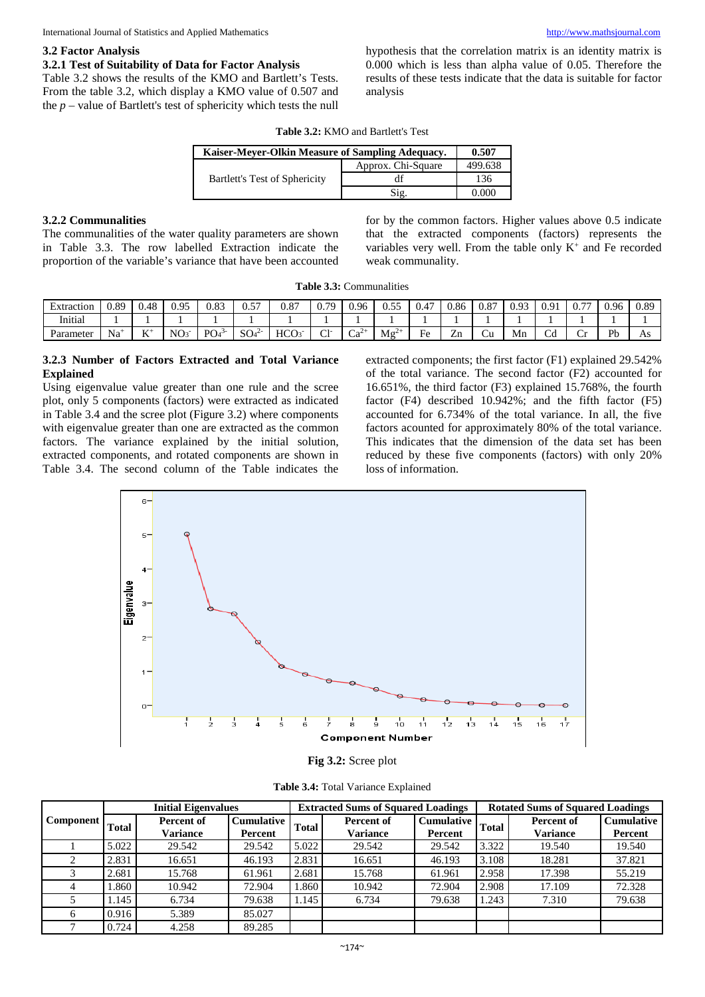#### **3.2 Factor Analysis**

# **3.2.1 Test of Suitability of Data for Factor Analysis**

Table 3.2 shows the results of the KMO and Bartlett's Tests. From the table 3.2, which display a KMO value of 0.507 and the  $p$  – value of Bartlett's test of sphericity which tests the null hypothesis that the correlation matrix is an identity matrix is 0.000 which is less than alpha value of 0.05. Therefore the results of these tests indicate that the data is suitable for factor analysis

| <b>Table 3.2: KMO and Bartlett's Test</b> |
|-------------------------------------------|
|-------------------------------------------|

| Kaiser-Meyer-Olkin Measure of Sampling Adequacy. |                    | 0.507   |
|--------------------------------------------------|--------------------|---------|
|                                                  | Approx. Chi-Square | 499.638 |
| <b>Bartlett's Test of Sphericity</b>             | df                 | 136     |
|                                                  | Sig.               | 0.000   |

#### **3.2.2 Communalities**

The communalities of the water quality parameters are shown in Table 3.3. The row labelled Extraction indicate the proportion of the variable's variance that have been accounted for by the common factors. Higher values above 0.5 indicate that the extracted components (factors) represents the variables very well. From the table only  $K^+$  and Fe recorded weak communality.

|  | <b>Table 3.3: Communalities</b> |  |
|--|---------------------------------|--|
|--|---------------------------------|--|

| <b>Extraction</b> | 0.89         | 0.48   | 0.95            | 0.83              | $\overline{a}$<br>U.J     | $\Omega$<br>U.O. | 70            | 0.96      | $\sim$ $=$ $=$<br>∪.∪- | 0.47              | 0.86    | 0.87       | 0.93 | 0.91<br><u>v.,</u> | $\overline{a}$<br>ν., | 0.96 | 0.89 |
|-------------------|--------------|--------|-----------------|-------------------|---------------------------|------------------|---------------|-----------|------------------------|-------------------|---------|------------|------|--------------------|-----------------------|------|------|
| .<br>Initial      |              |        |                 |                   |                           |                  |               |           |                        |                   |         |            |      |                    |                       |      |      |
| Parameter         | $\sim$<br>Na | V<br>V | NO <sub>3</sub> | PO <sub>4</sub> 3 | $\sim$<br>SO <sub>4</sub> | <b>HCO</b>       | $\sim$<br>ا ب | $Ca^{27}$ | Mg <sup>2</sup><br>.   | -<br>HΔ<br>$\sim$ | -<br>Zn | ٠.,<br>ا ب | Mn   | ◡u                 |                       | Pb   | As   |

# **3.2.3 Number of Factors Extracted and Total Variance Explained**

Using eigenvalue value greater than one rule and the scree plot, only 5 components (factors) were extracted as indicated in Table 3.4 and the scree plot (Figure 3.2) where components with eigenvalue greater than one are extracted as the common factors. The variance explained by the initial solution, extracted components, and rotated components are shown in Table 3.4. The second column of the Table indicates the extracted components; the first factor (F1) explained 29.542% of the total variance. The second factor (F2) accounted for 16.651%, the third factor (F3) explained 15.768%, the fourth factor (F4) described 10.942%; and the fifth factor (F5) accounted for 6.734% of the total variance. In all, the five factors acounted for approximately 80% of the total variance. This indicates that the dimension of the data set has been reduced by these five components (factors) with only 20% loss of information.



**Fig 3.2:** Scree plot

|  | Table 3.4: Total Variance Explained |  |
|--|-------------------------------------|--|
|  |                                     |  |

|                  |              | <b>Initial Eigenvalues</b> |                              |              | <b>Extracted Sums of Squared Loadings</b> |                       |              | <b>Rotated Sums of Squared Loadings</b> |                              |
|------------------|--------------|----------------------------|------------------------------|--------------|-------------------------------------------|-----------------------|--------------|-----------------------------------------|------------------------------|
| <b>Component</b> | <b>Total</b> | Percent of<br>Variance     | <b>Cumulative</b><br>Percent | <b>Total</b> | Percent of<br><b>Variance</b>             | Cumulative<br>Percent | <b>Total</b> | Percent of<br><b>Variance</b>           | <b>Cumulative</b><br>Percent |
|                  | 5.022        | 29.542                     | 29.542                       | 5.022        | 29.542                                    | 29.542                | 3.322        | 19.540                                  | 19.540                       |
|                  | 2.831        | 16.651                     | 46.193                       | 2.831        | 16.651                                    | 46.193                | 3.108        | 18.281                                  | 37.821                       |
|                  | 2.681        | 15.768                     | 61.961                       | 2.681        | 15.768                                    | 61.961                | 2.958        | 17.398                                  | 55.219                       |
|                  | 1.860        | 10.942                     | 72.904                       | 1.860        | 10.942                                    | 72.904                | 2.908        | 17.109                                  | 72.328                       |
|                  | 1.145        | 6.734                      | 79.638                       | 1.145        | 6.734                                     | 79.638                | .243         | 7.310                                   | 79.638                       |
| 6                | 0.916        | 5.389                      | 85.027                       |              |                                           |                       |              |                                         |                              |
|                  | 0.724        | 4.258                      | 89.285                       |              |                                           |                       |              |                                         |                              |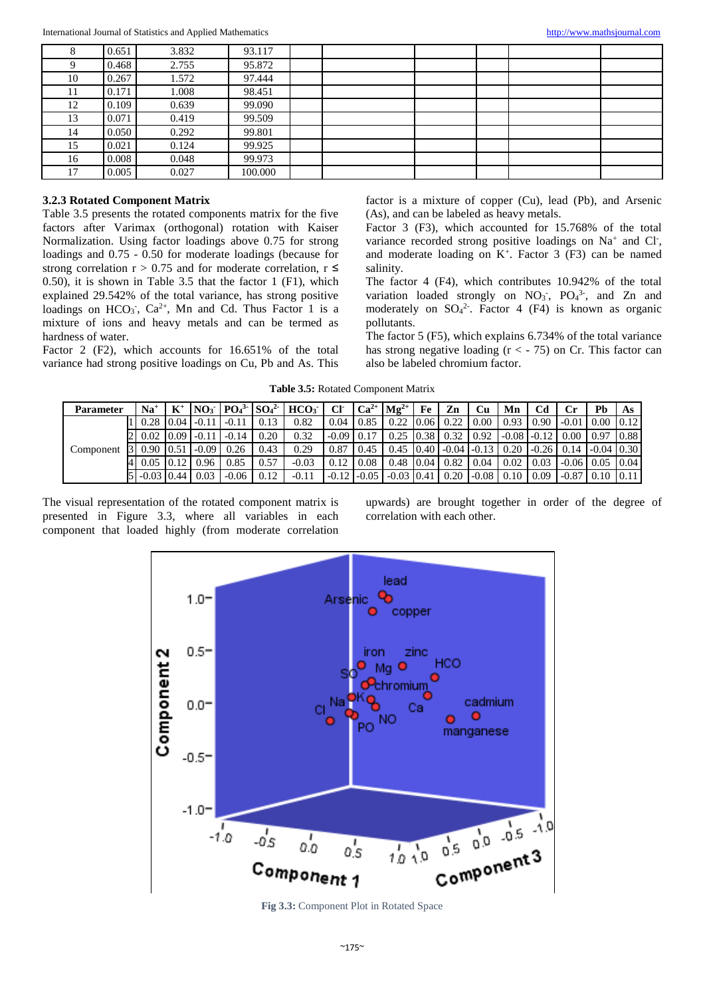|    | 0.651 | 3.832 | 93.117  |  |  |  |
|----|-------|-------|---------|--|--|--|
| Q  | 0.468 | 2.755 | 95.872  |  |  |  |
| 10 | 0.267 | 1.572 | 97.444  |  |  |  |
| 11 | 0.171 | 1.008 | 98.451  |  |  |  |
| 12 | 0.109 | 0.639 | 99.090  |  |  |  |
| 13 | 0.071 | 0.419 | 99.509  |  |  |  |
| 14 | 0.050 | 0.292 | 99.801  |  |  |  |
| 15 | 0.021 | 0.124 | 99.925  |  |  |  |
| 16 | 0.008 | 0.048 | 99.973  |  |  |  |
| 17 | 0.005 | 0.027 | 100.000 |  |  |  |

# **3.2.3 Rotated Component Matrix**

Table 3.5 presents the rotated components matrix for the five factors after Varimax (orthogonal) rotation with Kaiser Normalization. Using factor loadings above 0.75 for strong loadings and 0.75 - 0.50 for moderate loadings (because for strong correlation  $r > 0.75$  and for moderate correlation,  $r \leq$ 0.50), it is shown in Table 3.5 that the factor 1 (F1), which explained 29.542% of the total variance, has strong positive loadings on  $HCO_3$ ,  $Ca^{2+}$ , Mn and Cd. Thus Factor 1 is a mixture of ions and heavy metals and can be termed as hardness of water.

Factor 2 (F2), which accounts for 16.651% of the total variance had strong positive loadings on Cu, Pb and As. This factor is a mixture of copper (Cu), lead (Pb), and Arsenic (As), and can be labeled as heavy metals.

Factor 3 (F3), which accounted for 15.768% of the total variance recorded strong positive loadings on Na<sup>+</sup> and Cl<sup>-</sup>, and moderate loading on  $K^+$ . Factor 3 (F3) can be named salinity.

The factor 4 (F4), which contributes 10.942% of the total variation loaded strongly on  $NO_3$ ,  $PO_4$ <sup>3</sup>, and Zn and moderately on  $SO_4^2$ . Factor 4 (F4) is known as organic pollutants.

The factor 5 (F5), which explains 6.734% of the total variance has strong negative loading  $(r < -75)$  on Cr. This factor can also be labeled chromium factor.

**Table 3.5:** Rotated Component Matrix

| Parameter | $Na+$             |       |         |         |      | $NO_3$   $PO_4^3$   $SO_4^2$   $HCO_3$ | CF           | $Ca^{2+}$ $Mg^{2+}$ |                   | Fe | Zn      | Сu      | Mn   | Cd              |         | Ph                | As   |
|-----------|-------------------|-------|---------|---------|------|----------------------------------------|--------------|---------------------|-------------------|----|---------|---------|------|-----------------|---------|-------------------|------|
|           | $0.28 \, 10.04$   |       | $-0.11$ |         | 0.13 | 0.82                                   | 0.04         | 0.85                | $0.22 \quad 0.06$ |    | 0.22    | 0.00    | 0.93 | 0.90            | $-0.01$ | 0.00              | 0.12 |
|           | $0.02 \quad 0.09$ |       | $-0.11$ | $-0.14$ | 0.20 | 0.32                                   | $-0.09$ 0.17 |                     | $0.25 \, 0.38$    |    | 0.32    | 0.92    |      | $-0.08$ $-0.12$ | 0.00    | 0.97              | 0.88 |
| Component | $0.90 \, 0.51$    |       | $-0.09$ | 0.26    | 0.43 | 0.29                                   | 0.87         | 0.45                | $0.45 \quad 0.40$ |    | $-0.04$ | $-0.13$ | 0.20 | $-0.26$         | 0.14    | $-0.04$ 0.30      |      |
|           | 0.05              | 10.12 | 0.96    | 0.85    | 0.57 | $-0.03$                                | 0.12         | 0.08                | $0.48 \, 0.04$    |    | 0.82    | 0.04    | 0.02 | 0.03            | $-0.06$ | 0.05              | 0.04 |
|           | $-0.03$ 0.44      |       | 0.03    | $-0.06$ | 0.12 | $-0.1$                                 |              | $-0.12$ $-0.05$     | $-0.03$ 0.41      |    | 0.20    | $-0.08$ | 0.10 | 0.09            | $-0.87$ | $0.10 \quad 0.11$ |      |

The visual representation of the rotated component matrix is presented in Figure 3.3, where all variables in each component that loaded highly (from moderate correlation upwards) are brought together in order of the degree of correlation with each other.

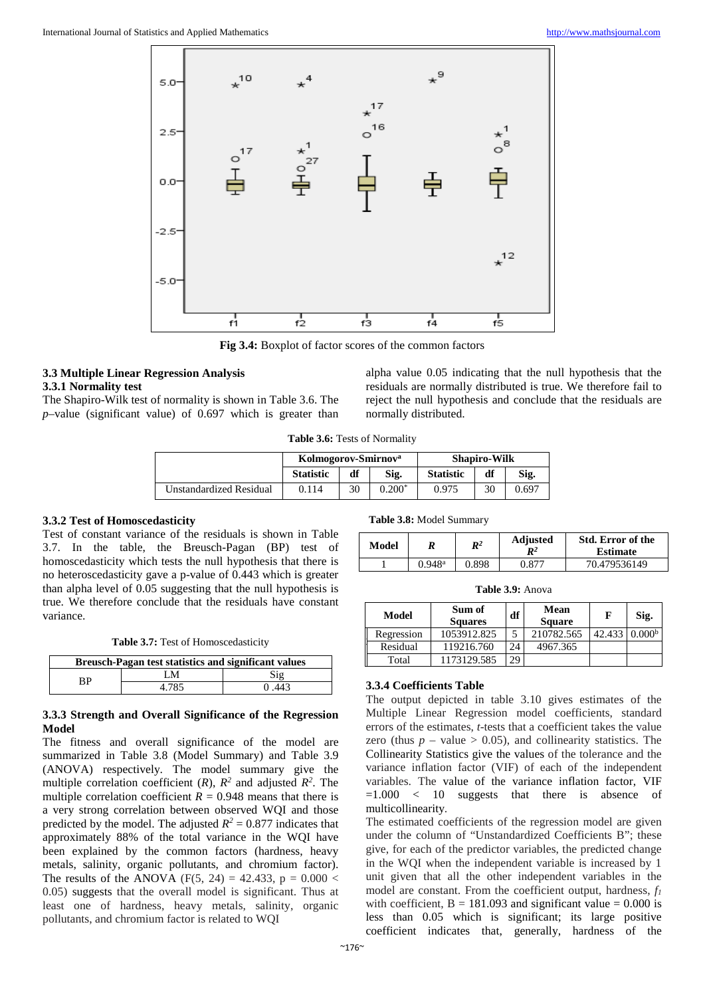

**Fig 3.4:** Boxplot of factor scores of the common factors

# **3.3 Multiple Linear Regression Analysis 3.3.1 Normality test**

The Shapiro-Wilk test of normality is shown in Table 3.6. The *p*–value (significant value) of 0.697 which is greater than alpha value 0.05 indicating that the null hypothesis that the residuals are normally distributed is true. We therefore fail to reject the null hypothesis and conclude that the residuals are normally distributed.

**Table 3.6:** Tests of Normality

|                         | Kolmogorov-Smirnov <sup>a</sup> |    |          | <b>Shapiro-Wilk</b> |    |       |
|-------------------------|---------------------------------|----|----------|---------------------|----|-------|
|                         | <b>Statistic</b>                | df | Sig.     | <b>Statistic</b>    | df | Sig.  |
| Unstandardized Residual | 0.114                           | 30 | $0.200*$ | 0.975               | 30 | 0.697 |

#### **3.3.2 Test of Homoscedasticity**

Test of constant variance of the residuals is shown in Table 3.7. In the table, the Breusch-Pagan (BP) test of homoscedasticity which tests the null hypothesis that there is no heteroscedasticity gave a p-value of 0.443 which is greater than alpha level of 0.05 suggesting that the null hypothesis is true. We therefore conclude that the residuals have constant variance.

**Table 3.7:** Test of Homoscedasticity

| <b>Breusch-Pagan test statistics and significant values</b> |       |       |  |  |
|-------------------------------------------------------------|-------|-------|--|--|
| RР                                                          | -M    |       |  |  |
|                                                             | 4.785 | 0.443 |  |  |

#### **3.3.3 Strength and Overall Significance of the Regression Model**

The fitness and overall significance of the model are summarized in Table 3.8 (Model Summary) and Table 3.9 (ANOVA) respectively. The model summary give the multiple correlation coefficient  $(R)$ ,  $R^2$  and adjusted  $R^2$ . The multiple correlation coefficient  $R = 0.948$  means that there is a very strong correlation between observed WQI and those predicted by the model. The adjusted  $R^2 = 0.877$  indicates that approximately 88% of the total variance in the WQI have been explained by the common factors (hardness, heavy metals, salinity, organic pollutants, and chromium factor). The results of the ANOVA (F(5, 24) = 42.433, p =  $0.000 <$ 0.05) suggests that the overall model is significant. Thus at least one of hardness, heavy metals, salinity, organic pollutants, and chromium factor is related to WQI

**Table 3.8:** Model Summary

| Model |                      | $\mathbb{R}^2$ | <b>Adjusted</b><br>$\boldsymbol{R}^2$ | <b>Std. Error of the</b><br><b>Estimate</b> |
|-------|----------------------|----------------|---------------------------------------|---------------------------------------------|
|       | $0.948$ <sup>a</sup> | 0.898          | 0.877                                 | 70.479536149                                |

**Table 3.9:** Anova

| Model      | Sum of<br><b>Squares</b> | df | Mean<br><b>Square</b> |        | Sig.               |
|------------|--------------------------|----|-----------------------|--------|--------------------|
| Regression | 1053912.825              |    | 210782.565            | 42.433 | 0.000 <sup>b</sup> |
| Residual   | 119216.760               | 24 | 4967.365              |        |                    |
| Total      | 1173129.585              | 29 |                       |        |                    |

# **3.3.4 Coefficients Table**

The output depicted in table 3.10 gives estimates of the Multiple Linear Regression model coefficients, standard errors of the estimates, *t*-tests that a coefficient takes the value zero (thus  $p -$  value  $> 0.05$ ), and collinearity statistics. The Collinearity Statistics give the values of the tolerance and the variance inflation factor (VIF) of each of the independent variables. The value of the variance inflation factor, VIF =1.000 < 10 suggests that there is absence of multicollinearity.

The estimated coefficients of the regression model are given under the column of "Unstandardized Coefficients B"; these give, for each of the predictor variables, the predicted change in the WQI when the independent variable is increased by 1 unit given that all the other independent variables in the model are constant. From the coefficient output, hardness,  $f_1$ with coefficient,  $B = 181.093$  and significant value = 0.000 is less than 0.05 which is significant; its large positive coefficient indicates that, generally, hardness of the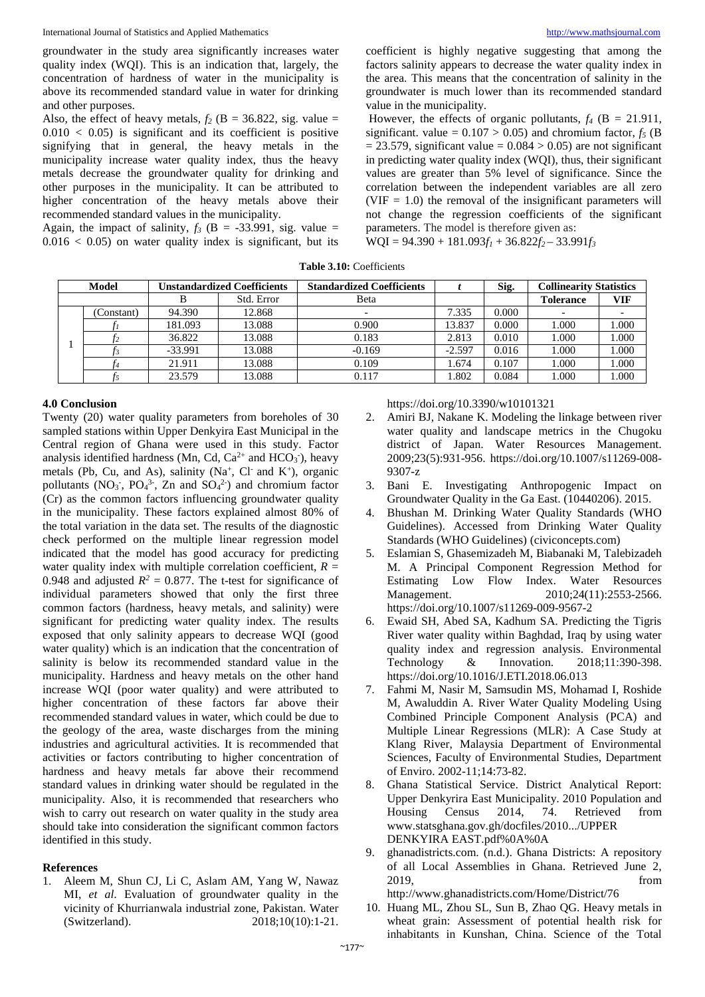groundwater in the study area significantly increases water quality index (WQI). This is an indication that, largely, the concentration of hardness of water in the municipality is above its recommended standard value in water for drinking and other purposes.

Also, the effect of heavy metals,  $f_2$  (B = 36.822, sig. value =  $0.010 < 0.05$  is significant and its coefficient is positive signifying that in general, the heavy metals in the municipality increase water quality index, thus the heavy metals decrease the groundwater quality for drinking and other purposes in the municipality. It can be attributed to higher concentration of the heavy metals above their recommended standard values in the municipality.

Again, the impact of salinity,  $f_3$  (B = -33.991, sig. value =  $0.016 < 0.05$  on water quality index is significant, but its coefficient is highly negative suggesting that among the factors salinity appears to decrease the water quality index in the area. This means that the concentration of salinity in the groundwater is much lower than its recommended standard value in the municipality.

However, the effects of organic pollutants,  $f_4$  ( $B = 21.911$ , significant. value =  $0.107 > 0.05$ ) and chromium factor,  $f_5$  (B)  $= 23.579$ , significant value  $= 0.084 > 0.05$ ) are not significant in predicting water quality index (WQI), thus, their significant values are greater than 5% level of significance. Since the correlation between the independent variables are all zero  $(VIF = 1.0)$  the removal of the insignificant parameters will not change the regression coefficients of the significant parameters. The model is therefore given as:

 $WOI = 94.390 + 181.093f_1 + 36.822f_2 - 33.991f_3$ 

**Table 3.10:** Coefficients

| <b>Model</b> |            | Unstandardized Coefficients |            | <b>Standardized Coefficients</b> |          | Sig.  | <b>Collinearity Statistics</b> |                          |
|--------------|------------|-----------------------------|------------|----------------------------------|----------|-------|--------------------------------|--------------------------|
|              |            |                             | Std. Error | Beta                             |          |       | <b>Tolerance</b>               | VIF                      |
|              | (Constant) | 94.390                      | 12.868     |                                  | 7.335    | 0.000 |                                | $\overline{\phantom{0}}$ |
|              |            | 181.093                     | 13.088     | 0.900                            | 13.837   | 0.000 | 1.000                          | .000                     |
|              |            | 36.822                      | 13.088     | 0.183                            | 2.813    | 0.010 | 1.000                          | .000                     |
|              |            | $-33.991$                   | 13.088     | $-0.169$                         | $-2.597$ | 0.016 | 1.000                          | .000                     |
|              |            | 21.911                      | 13.088     | 0.109                            | 1.674    | 0.107 | 1.000                          | .000                     |
|              |            | 23.579                      | 13.088     | 0.117                            | 1.802    | 0.084 | 1.000                          | .000                     |

### **4.0 Conclusion**

Twenty (20) water quality parameters from boreholes of 30 sampled stations within Upper Denkyira East Municipal in the Central region of Ghana were used in this study. Factor analysis identified hardness (Mn, Cd,  $Ca^{2+}$  and  $HCO<sub>3</sub>$ ), heavy metals (Pb, Cu, and As), salinity (Na<sup>+</sup>, Cl<sup>-</sup> and K<sup>+</sup>), organic pollutants ( $NO_3$ <sup>-</sup>,  $PO_4$ <sup>3-</sup>, Zn and  $SO_4$ <sup>2-</sup>) and chromium factor (Cr) as the common factors influencing groundwater quality in the municipality. These factors explained almost 80% of the total variation in the data set. The results of the diagnostic check performed on the multiple linear regression model indicated that the model has good accuracy for predicting water quality index with multiple correlation coefficient,  $R =$ 0.948 and adjusted  $R^2 = 0.877$ . The t-test for significance of individual parameters showed that only the first three common factors (hardness, heavy metals, and salinity) were significant for predicting water quality index. The results exposed that only salinity appears to decrease WQI (good water quality) which is an indication that the concentration of salinity is below its recommended standard value in the municipality. Hardness and heavy metals on the other hand increase WQI (poor water quality) and were attributed to higher concentration of these factors far above their recommended standard values in water, which could be due to the geology of the area, waste discharges from the mining industries and agricultural activities. It is recommended that activities or factors contributing to higher concentration of hardness and heavy metals far above their recommend standard values in drinking water should be regulated in the municipality. Also, it is recommended that researchers who wish to carry out research on water quality in the study area should take into consideration the significant common factors identified in this study.

#### **References**

1. Aleem M, Shun CJ, Li C, Aslam AM, Yang W, Nawaz MI, *et al*. Evaluation of groundwater quality in the vicinity of Khurrianwala industrial zone, Pakistan. Water (Switzerland). 2018;10(10):1-21.

https://doi.org/10.3390/w10101321

- 2. Amiri BJ, Nakane K. Modeling the linkage between river water quality and landscape metrics in the Chugoku district of Japan. Water Resources Management. 2009;23(5):931-956. https://doi.org/10.1007/s11269-008- 9307-z
- 3. Bani E. Investigating Anthropogenic Impact on Groundwater Quality in the Ga East. (10440206). 2015.
- 4. Bhushan M. Drinking Water Quality Standards (WHO Guidelines). Accessed from Drinking Water Quality Standards (WHO Guidelines) (civiconcepts.com)
- 5. Eslamian S, Ghasemizadeh M, Biabanaki M, Talebizadeh M. A Principal Component Regression Method for Estimating Low Flow Index. Water Resources Management. 2010;24(11):2553-2566. https://doi.org/10.1007/s11269-009-9567-2
- 6. Ewaid SH, Abed SA, Kadhum SA. Predicting the Tigris River water quality within Baghdad, Iraq by using water quality index and regression analysis. Environmental Technology & Innovation. 2018;11:390-398. & Innovation. 2018;11:390-398. https://doi.org/10.1016/J.ETI.2018.06.013
- 7. Fahmi M, Nasir M, Samsudin MS, Mohamad I, Roshide M, Awaluddin A. River Water Quality Modeling Using Combined Principle Component Analysis (PCA) and Multiple Linear Regressions (MLR): A Case Study at Klang River, Malaysia Department of Environmental Sciences, Faculty of Environmental Studies, Department of Enviro. 2002-11;14:73-82.
- 8. Ghana Statistical Service. District Analytical Report: Upper Denkyrira East Municipality. 2010 Population and<br>Housing Census 2014. 74. Retrieved from Housing Census 2014, 74. Retrieved from www.statsghana.gov.gh/docfiles/2010.../UPPER DENKYIRA EAST.pdf%0A%0A
- 9. ghanadistricts.com. (n.d.). Ghana Districts: A repository of all Local Assemblies in Ghana. Retrieved June 2, 2019, from http://www.ghanadistricts.com/Home/District/76
- 10. Huang ML, Zhou SL, Sun B, Zhao QG. Heavy metals in wheat grain: Assessment of potential health risk for inhabitants in Kunshan, China. Science of the Total